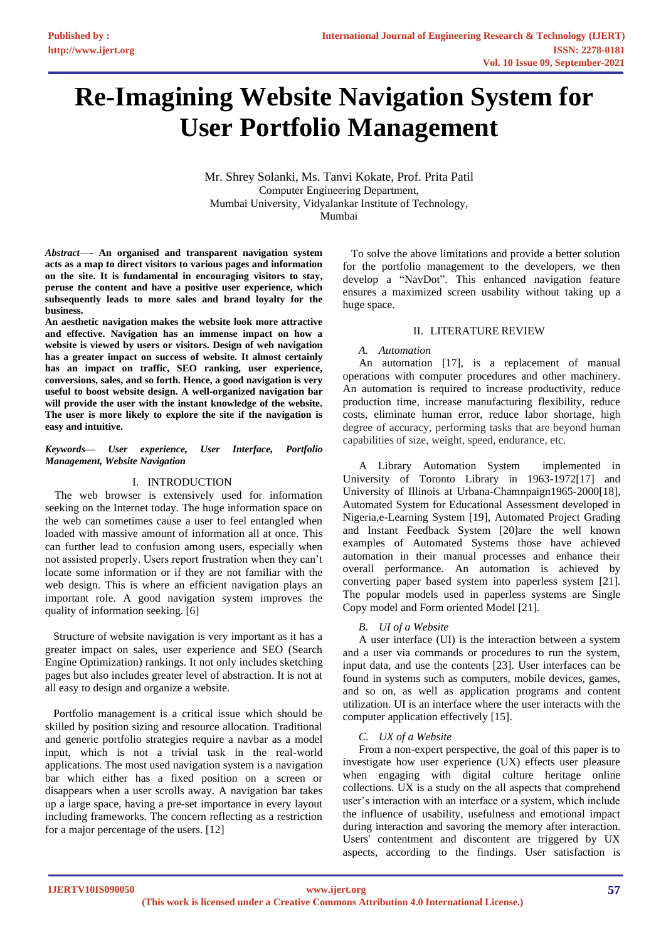# **Re-Imagining Website Navigation System for User Portfolio Management**

Mr. Shrey Solanki, Ms. Tanvi Kokate, Prof. Prita Patil Computer Engineering Department, Mumbai University, Vidyalankar Institute of Technology, Mumbai

*Abstract*—- **An organised and transparent navigation system acts as a map to direct visitors to various pages and information on the site. It is fundamental in encouraging visitors to stay, peruse the content and have a positive user experience, which subsequently leads to more sales and brand loyalty for the business.**

**An aesthetic navigation makes the website look more attractive and effective. Navigation has an immense impact on how a website is viewed by users or visitors. Design of web navigation has a greater impact on success of website. It almost certainly has an impact on traffic, SEO ranking, user experience, conversions, sales, and so forth. Hence, a good navigation is very useful to boost website design. A well-organized navigation bar will provide the user with the instant knowledge of the website. The user is more likely to explore the site if the navigation is easy and intuitive.**

#### *Keywords— User experience, User Interface, Portfolio Management, Website Navigation*

## I. INTRODUCTION

The web browser is extensively used for information seeking on the Internet today. The huge information space on the web can sometimes cause a user to feel entangled when loaded with massive amount of information all at once. This can further lead to confusion among users, especially when not assisted properly. Users report frustration when they can't locate some information or if they are not familiar with the web design. This is where an efficient navigation plays an important role. A good navigation system improves the quality of information seeking. [6]

 Structure of website navigation is very important as it has a greater impact on sales, user experience and SEO (Search Engine Optimization) rankings. It not only includes sketching pages but also includes greater level of abstraction. It is not at all easy to design and organize a website.

 Portfolio management is a critical issue which should be skilled by position sizing and resource allocation. Traditional and generic portfolio strategies require a navbar as a model input, which is not a trivial task in the real-world applications. The most used navigation system is a navigation bar which either has a fixed position on a screen or disappears when a user scrolls away. A navigation bar takes up a large space, having a pre-set importance in every layout including frameworks. The concern reflecting as a restriction for a major percentage of the users. [12]

 To solve the above limitations and provide a better solution for the portfolio management to the developers, we then develop a "NavDot". This enhanced navigation feature ensures a maximized screen usability without taking up a huge space.

# II. LITERATURE REVIEW

# *A. Automation*

An automation [17], is a replacement of manual operations with computer procedures and other machinery. An automation is required to increase productivity, reduce production time, increase manufacturing flexibility, reduce costs, eliminate human error, reduce labor shortage, high degree of accuracy, performing tasks that are beyond human capabilities of size, weight, speed, endurance, etc.

A Library Automation System implemented in University of Toronto Library in 1963-1972[17] and University of Illinois at Urbana-Chamnpaign1965-2000[18], Automated System for Educational Assessment developed in Nigeria,e-Learning System [19], Automated Project Grading and Instant Feedback System [20]are the well known examples of Automated Systems those have achieved automation in their manual processes and enhance their overall performance. An automation is achieved by converting paper based system into paperless system [21]. The popular models used in paperless systems are Single Copy model and Form oriented Model [21].

## *B. UI of a Website*

A user interface (UI) is the interaction between a system and a user via commands or procedures to run the system, input data, and use the contents [23]. User interfaces can be found in systems such as computers, mobile devices, games, and so on, as well as application programs and content utilization. UI is an interface where the user interacts with the computer application effectively [15].

## *C. UX of a Website*

From a non-expert perspective, the goal of this paper is to investigate how user experience (UX) effects user pleasure when engaging with digital culture heritage online collections. UX is a study on the all aspects that comprehend user's interaction with an interface or a system, which include the influence of usability, usefulness and emotional impact during interaction and savoring the memory after interaction. Users' contentment and discontent are triggered by UX aspects, according to the findings. User satisfaction is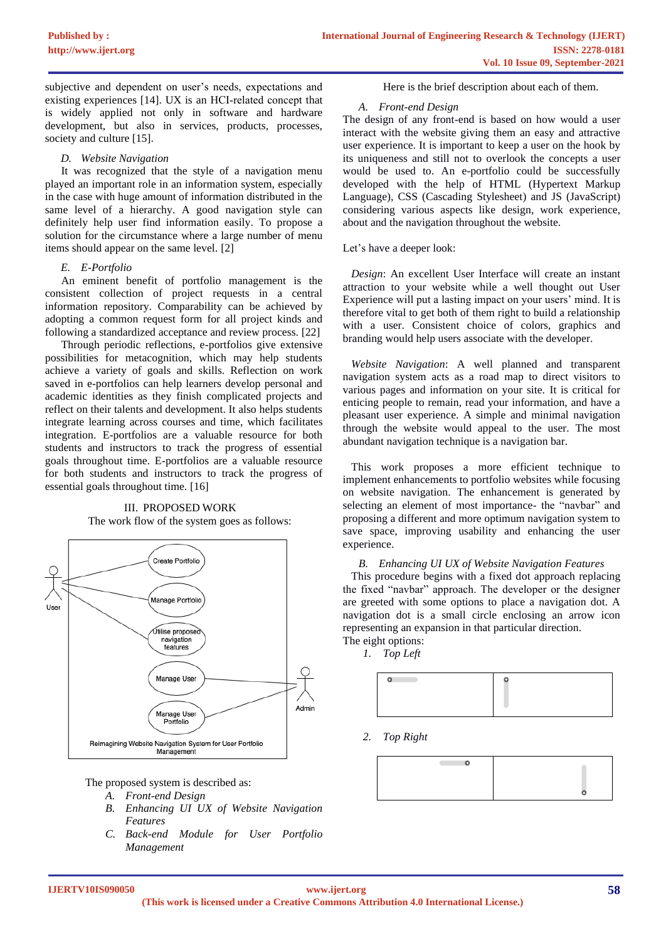subjective and dependent on user's needs, expectations and existing experiences [14]. UX is an HCI-related concept that is widely applied not only in software and hardware development, but also in services, products, processes, society and culture [15].

#### *D. Website Navigation*

It was recognized that the style of a navigation menu played an important role in an information system, especially in the case with huge amount of information distributed in the same level of a hierarchy. A good navigation style can definitely help user find information easily. To propose a solution for the circumstance where a large number of menu items should appear on the same level. [2]

# *E. E-Portfolio*

An eminent benefit of portfolio management is the consistent collection of project requests in a central information repository. Comparability can be achieved by adopting a common request form for all project kinds and following a standardized acceptance and review process. [22]

Through periodic reflections, e-portfolios give extensive possibilities for metacognition, which may help students achieve a variety of goals and skills. Reflection on work saved in e-portfolios can help learners develop personal and academic identities as they finish complicated projects and reflect on their talents and development. It also helps students integrate learning across courses and time, which facilitates integration. E-portfolios are a valuable resource for both students and instructors to track the progress of essential goals throughout time. E-portfolios are a valuable resource for both students and instructors to track the progress of essential goals throughout time. [16]



## III. PROPOSED WORK The work flow of the system goes as follows:

The proposed system is described as:

- *A. Front-end Design*
- *B. Enhancing UI UX of Website Navigation Features*
- *C. Back-end Module for User Portfolio Management*

Here is the brief description about each of them.

#### *A. Front-end Design*

The design of any front-end is based on how would a user interact with the website giving them an easy and attractive user experience. It is important to keep a user on the hook by its uniqueness and still not to overlook the concepts a user would be used to. An e-portfolio could be successfully developed with the help of HTML (Hypertext Markup Language), CSS (Cascading Stylesheet) and JS (JavaScript) considering various aspects like design, work experience, about and the navigation throughout the website.

Let's have a deeper look:

 *Design*: An excellent User Interface will create an instant attraction to your website while a well thought out User Experience will put a lasting impact on your users' mind. It is therefore vital to get both of them right to build a relationship with a user. Consistent choice of colors, graphics and branding would help users associate with the developer.

 *Website Navigation*: A well planned and transparent navigation system acts as a road map to direct visitors to various pages and information on your site. It is critical for enticing people to remain, read your information, and have a pleasant user experience. A simple and minimal navigation through the website would appeal to the user. The most abundant navigation technique is a navigation bar.

 This work proposes a more efficient technique to implement enhancements to portfolio websites while focusing on website navigation. The enhancement is generated by selecting an element of most importance- the "navbar" and proposing a different and more optimum navigation system to save space, improving usability and enhancing the user experience.

#### *B. Enhancing UI UX of Website Navigation Features*

 This procedure begins with a fixed dot approach replacing the fixed "navbar" approach. The developer or the designer are greeted with some options to place a navigation dot. A navigation dot is a small circle enclosing an arrow icon representing an expansion in that particular direction. The eight options:

*1. Top Left*



*2. Top Right*

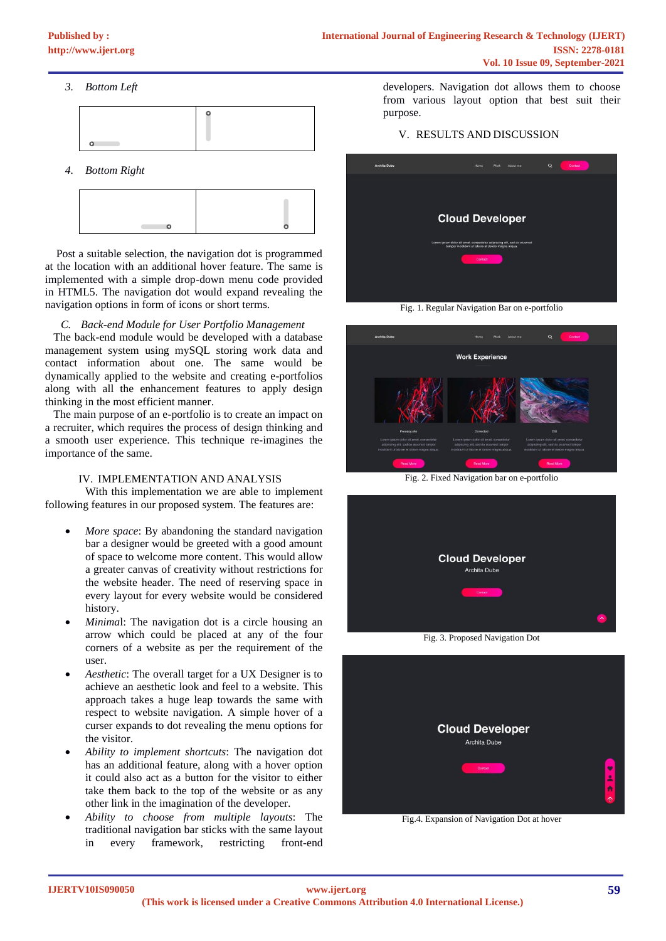*3. Bottom Left*



*4. Bottom Right*



 Post a suitable selection, the navigation dot is programmed at the location with an additional hover feature. The same is implemented with a simple drop-down menu code provided in HTML5. The navigation dot would expand revealing the navigation options in form of icons or short terms.

*C. Back-end Module for User Portfolio Management*

 The back-end module would be developed with a database management system using mySQL storing work data and contact information about one. The same would be dynamically applied to the website and creating e-portfolios along with all the enhancement features to apply design thinking in the most efficient manner.

 The main purpose of an e-portfolio is to create an impact on a recruiter, which requires the process of design thinking and a smooth user experience. This technique re-imagines the importance of the same.

## IV. IMPLEMENTATION AND ANALYSIS

With this implementation we are able to implement following features in our proposed system. The features are:

- *More space*: By abandoning the standard navigation bar a designer would be greeted with a good amount of space to welcome more content. This would allow a greater canvas of creativity without restrictions for the website header. The need of reserving space in every layout for every website would be considered history.
- *Minimal*: The navigation dot is a circle housing an arrow which could be placed at any of the four corners of a website as per the requirement of the user.
- *Aesthetic*: The overall target for a UX Designer is to achieve an aesthetic look and feel to a website. This approach takes a huge leap towards the same with respect to website navigation. A simple hover of a curser expands to dot revealing the menu options for the visitor.
- *Ability to implement shortcuts*: The navigation dot has an additional feature, along with a hover option it could also act as a button for the visitor to either take them back to the top of the website or as any other link in the imagination of the developer.
- *Ability to choose from multiple layouts*: The traditional navigation bar sticks with the same layout in every framework, restricting front-end

developers. Navigation dot allows them to choose from various layout option that best suit their purpose.

## V. RESULTS AND DISCUSSION



Fig. 1. Regular Navigation Bar on e-portfolio





Fig. 3. Proposed Navigation Dot



Fig.4. Expansion of Navigation Dot at hover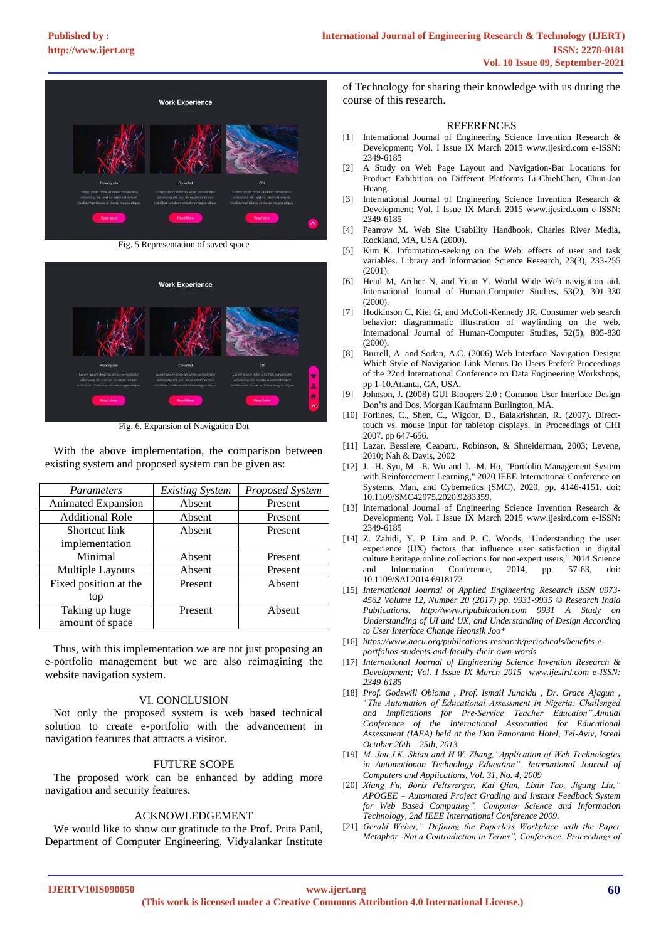

Fig. 5 Representation of saved space



Fig. 6. Expansion of Navigation Dot

 With the above implementation, the comparison between existing system and proposed system can be given as:

| <b>Parameters</b>         | <b>Existing System</b> | Proposed System |
|---------------------------|------------------------|-----------------|
| <b>Animated Expansion</b> | Absent                 | Present         |
| <b>Additional Role</b>    | Absent                 | Present         |
| Shortcut link             | Absent                 | Present         |
| implementation            |                        |                 |
| Minimal                   | Absent                 | Present         |
| Multiple Layouts          | Absent                 | Present         |
| Fixed position at the     | Present                | Absent          |
| top                       |                        |                 |
| Taking up huge            | Present                | Absent          |
| amount of space           |                        |                 |

 Thus, with this implementation we are not just proposing an e-portfolio management but we are also reimagining the website navigation system.

#### VI. CONCLUSION

 Not only the proposed system is web based technical solution to create e-portfolio with the advancement in navigation features that attracts a visitor.

#### FUTURE SCOPE

 The proposed work can be enhanced by adding more navigation and security features.

### ACKNOWLEDGEMENT

 We would like to show our gratitude to the Prof. Prita Patil, Department of Computer Engineering, Vidyalankar Institute of Technology for sharing their knowledge with us during the course of this research.

#### **REFERENCES**

- [1] International Journal of Engineering Science Invention Research & Development; Vol. I Issue IX March 2015 www.ijesird.com e-ISSN: 2349-6185
- [2] A Study on Web Page Layout and Navigation-Bar Locations for Product Exhibition on Different Platforms Li-ChiehChen, Chun-Jan Huang.
- [3] International Journal of Engineering Science Invention Research & Development; Vol. I Issue IX March 2015 www.ijesird.com e-ISSN: 2349-6185
- [4] Pearrow M. Web Site Usability Handbook, Charles River Media, Rockland, MA, USA (2000).
- [5] Kim K. Information-seeking on the Web: effects of user and task variables. Library and Information Science Research, 23(3), 233-255 (2001).
- [6] Head M, Archer N, and Yuan Y. World Wide Web navigation aid. International Journal of Human-Computer Studies, 53(2), 301-330 (2000).
- [7] Hodkinson C, Kiel G, and McColl-Kennedy JR. Consumer web search behavior: diagrammatic illustration of wayfinding on the web. International Journal of Human-Computer Studies, 52(5), 805-830 (2000).
- [8] Burrell, A. and Sodan, A.C. (2006) Web Interface Navigation Design: Which Style of Navigation-Link Menus Do Users Prefer? Proceedings of the 22nd International Conference on Data Engineering Workshops, pp 1-10.Atlanta, GA, USA.
- Johnson, J. (2008) GUI Bloopers 2.0 : Common User Interface Design Don'ts and Dos, Morgan Kaufmann Burlington, MA.
- [10] Forlines, C., Shen, C., Wigdor, D., Balakrishnan, R. (2007). Directtouch vs. mouse input for tabletop displays. In Proceedings of CHI 2007. pp 647-656.
- [11] Lazar, Bessiere, Ceaparu, Robinson, & Shneiderman, 2003; Levene, 2010; Nah & Davis, 2002
- [12] J. -H. Syu, M. -E. Wu and J. -M. Ho, "Portfolio Management System with Reinforcement Learning," 2020 IEEE International Conference on Systems, Man, and Cybernetics (SMC), 2020, pp. 4146-4151, doi: 10.1109/SMC42975.2020.9283359.
- [13] International Journal of Engineering Science Invention Research & Development; Vol. I Issue IX March 2015 www.ijesird.com e-ISSN: 2349-6185
- [14] Z. Zahidi, Y. P. Lim and P. C. Woods, "Understanding the user experience (UX) factors that influence user satisfaction in digital culture heritage online collections for non-expert users," 2014 Science and Information Conference, 2014, pp. 57-63, doi: 10.1109/SAI.2014.6918172
- [15] *International Journal of Applied Engineering Research ISSN 0973- 4562 Volume 12, Number 20 (2017) pp. 9931-9935 © Research India Publications. http://www.ripublication.com 9931 A Study on Understanding of UI and UX, and Understanding of Design According to User Interface Change Heonsik Joo\**
- [16] *https://www.aacu.org/publications-research/periodicals/benefits-eportfolios-students-and-faculty-their-own-words*
- [17] *International Journal of Engineering Science Invention Research & Development; Vol. I Issue IX March 2015 www.ijesird.com e-ISSN: 2349-6185*
- [18] *Prof. Godswill Obioma , Prof. Ismail Junaidu , Dr. Grace Ajagun , "The Automation of Educational Assessment in Nigeria: Challenged and Implications for Pre-Service Teacher Educaion",Annual Conference of the International Association for Educational Assessment (IAEA) held at the Dan Panorama Hotel, Tel-Aviv, Isreal October 20th – 25th, 2013*
- [19] *M. Jou,J.K. Shiau and H.W. Zhang,"Application of Web Technologies in Automationon Technology Education", International Journal of Computers and Applications, Vol. 31, No. 4, 2009*
- [20] *Xiang Fu, Boris Peltsverger, Kai Qian, Lixin Tao, Jigang Liu," APOGEE – Automated Project Grading and Instant Feedback System for Web Based Computing", Computer Science and Information Technology, 2nd IEEE International Conference 2009.*
- [21] *Gerald Weber," Defining the Paperless Workplace with the Paper Metaphor -Not a Contradiction in Terms", Conference: Proceedings of*